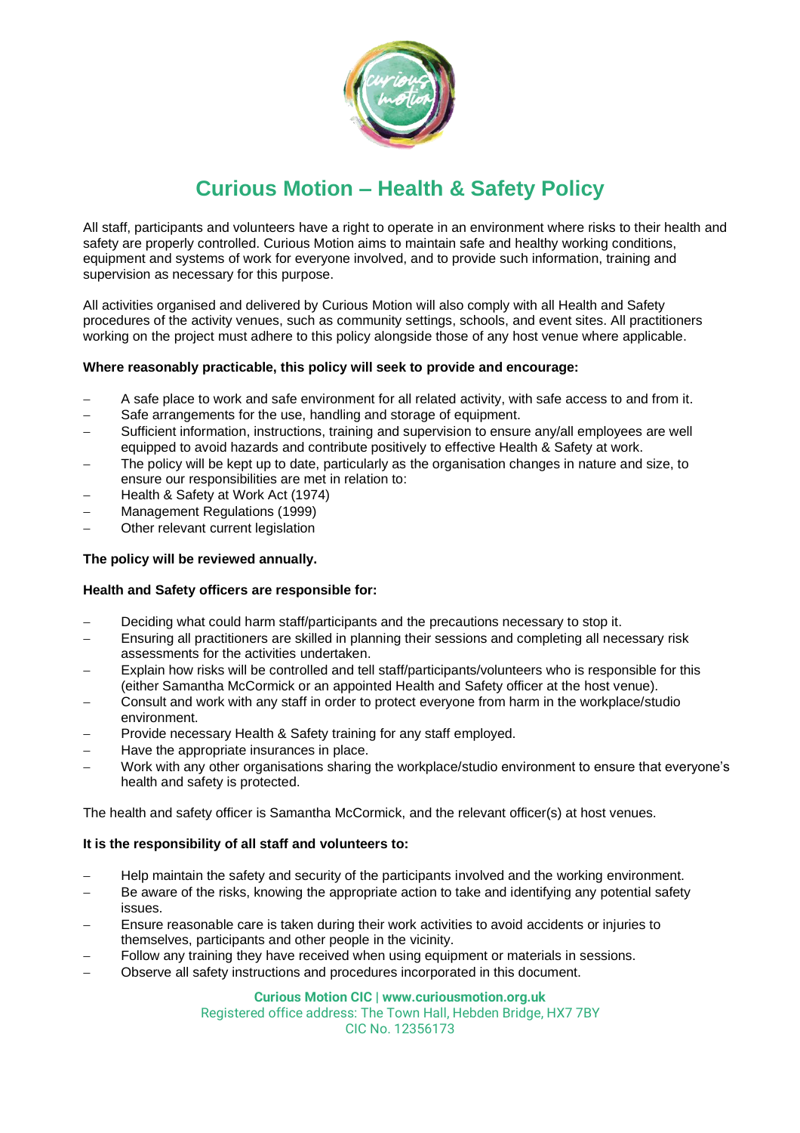

# **Curious Motion – Health & Safety Policy**

All staff, participants and volunteers have a right to operate in an environment where risks to their health and safety are properly controlled. Curious Motion aims to maintain safe and healthy working conditions, equipment and systems of work for everyone involved, and to provide such information, training and supervision as necessary for this purpose.

All activities organised and delivered by Curious Motion will also comply with all Health and Safety procedures of the activity venues, such as community settings, schools, and event sites. All practitioners working on the project must adhere to this policy alongside those of any host venue where applicable.

## **Where reasonably practicable, this policy will seek to provide and encourage:**

- − A safe place to work and safe environment for all related activity, with safe access to and from it.
- Safe arrangements for the use, handling and storage of equipment.
- Sufficient information, instructions, training and supervision to ensure any/all employees are well equipped to avoid hazards and contribute positively to effective Health & Safety at work.
- The policy will be kept up to date, particularly as the organisation changes in nature and size, to ensure our responsibilities are met in relation to:
- − Health & Safety at Work Act (1974)
- − Management Regulations (1999)
- Other relevant current legislation

## **The policy will be reviewed annually.**

#### **Health and Safety officers are responsible for:**

- Deciding what could harm staff/participants and the precautions necessary to stop it.
- Ensuring all practitioners are skilled in planning their sessions and completing all necessary risk assessments for the activities undertaken.
- − Explain how risks will be controlled and tell staff/participants/volunteers who is responsible for this (either Samantha McCormick or an appointed Health and Safety officer at the host venue).
- − Consult and work with any staff in order to protect everyone from harm in the workplace/studio environment.
- − Provide necessary Health & Safety training for any staff employed.
- − Have the appropriate insurances in place.
- − Work with any other organisations sharing the workplace/studio environment to ensure that everyone's health and safety is protected.

The health and safety officer is Samantha McCormick, and the relevant officer(s) at host venues.

#### **It is the responsibility of all staff and volunteers to:**

- − Help maintain the safety and security of the participants involved and the working environment.
- Be aware of the risks, knowing the appropriate action to take and identifying any potential safety issues.
- Ensure reasonable care is taken during their work activities to avoid accidents or injuries to themselves, participants and other people in the vicinity.
- Follow any training they have received when using equipment or materials in sessions.
- − Observe all safety instructions and procedures incorporated in this document.

**Curious Motion CIC | www.curiousmotion.org.uk**

Registered office address: The Town Hall, Hebden Bridge, HX7 7BY CIC No. 12356173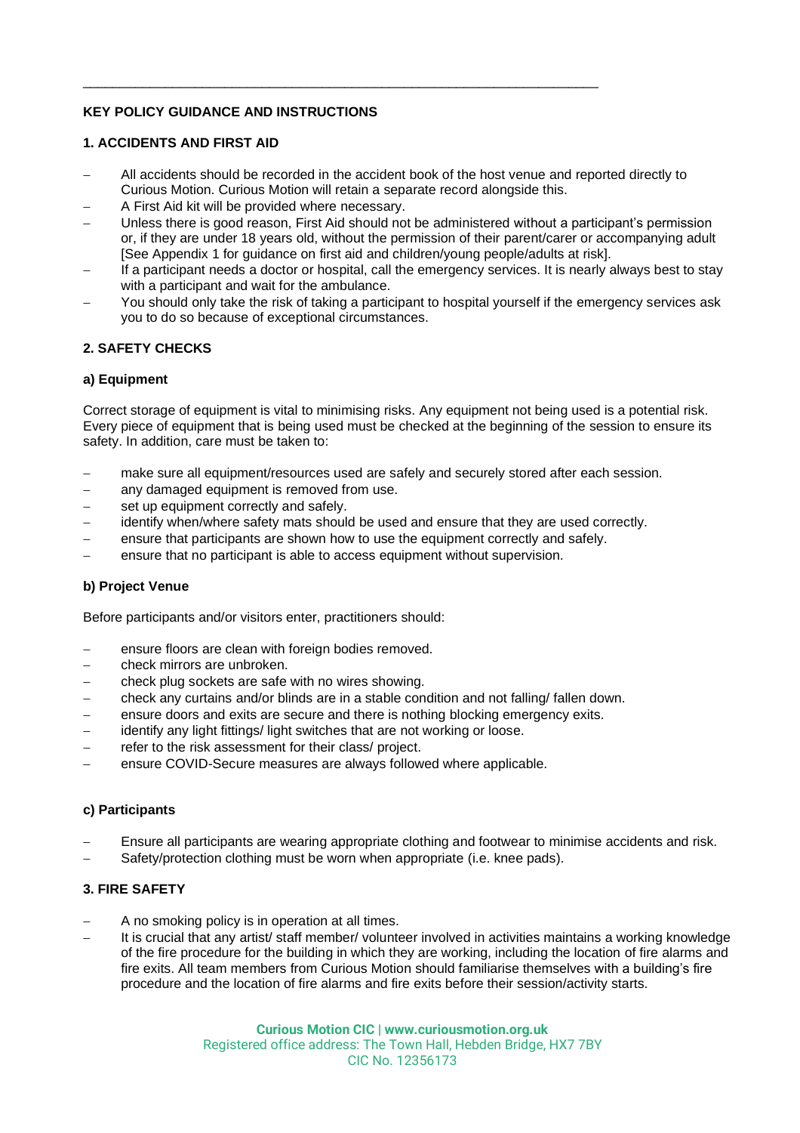# **KEY POLICY GUIDANCE AND INSTRUCTIONS**

# **1. ACCIDENTS AND FIRST AID**

− All accidents should be recorded in the accident book of the host venue and reported directly to Curious Motion. Curious Motion will retain a separate record alongside this.

 $\_$  ,  $\_$  ,  $\_$  ,  $\_$  ,  $\_$  ,  $\_$  ,  $\_$  ,  $\_$  ,  $\_$  ,  $\_$  ,  $\_$  ,  $\_$  ,  $\_$  ,  $\_$  ,  $\_$  ,  $\_$  ,  $\_$  ,  $\_$  ,  $\_$  ,  $\_$  ,  $\_$  ,  $\_$  ,  $\_$  ,  $\_$  ,  $\_$  ,  $\_$  ,  $\_$  ,  $\_$  ,  $\_$  ,  $\_$  ,  $\_$  ,  $\_$  ,  $\_$  ,  $\_$  ,  $\_$  ,  $\_$  ,  $\_$  ,

- − A First Aid kit will be provided where necessary.
- − Unless there is good reason, First Aid should not be administered without a participant's permission or, if they are under 18 years old, without the permission of their parent/carer or accompanying adult [See Appendix 1 for guidance on first aid and children/young people/adults at risk].
- If a participant needs a doctor or hospital, call the emergency services. It is nearly always best to stay with a participant and wait for the ambulance.
- You should only take the risk of taking a participant to hospital yourself if the emergency services ask you to do so because of exceptional circumstances.

# **2. SAFETY CHECKS**

## **a) Equipment**

Correct storage of equipment is vital to minimising risks. Any equipment not being used is a potential risk. Every piece of equipment that is being used must be checked at the beginning of the session to ensure its safety. In addition, care must be taken to:

- make sure all equipment/resources used are safely and securely stored after each session.
- − any damaged equipment is removed from use.
- set up equipment correctly and safely.
- identify when/where safety mats should be used and ensure that they are used correctly.
- ensure that participants are shown how to use the equipment correctly and safely.
- ensure that no participant is able to access equipment without supervision.

#### **b) Project Venue**

Before participants and/or visitors enter, practitioners should:

- ensure floors are clean with foreign bodies removed.
- − check mirrors are unbroken.
- − check plug sockets are safe with no wires showing.
- − check any curtains and/or blinds are in a stable condition and not falling/ fallen down.
- − ensure doors and exits are secure and there is nothing blocking emergency exits.
- − identify any light fittings/ light switches that are not working or loose.
- refer to the risk assessment for their class/ project.
- − ensure COVID-Secure measures are always followed where applicable.

#### **c) Participants**

- − Ensure all participants are wearing appropriate clothing and footwear to minimise accidents and risk.
- Safety/protection clothing must be worn when appropriate (i.e. knee pads).

# **3. FIRE SAFETY**

- A no smoking policy is in operation at all times.
- − It is crucial that any artist/ staff member/ volunteer involved in activities maintains a working knowledge of the fire procedure for the building in which they are working, including the location of fire alarms and fire exits. All team members from Curious Motion should familiarise themselves with a building's fire procedure and the location of fire alarms and fire exits before their session/activity starts.

**Curious Motion CIC | www.curiousmotion.org.uk** Registered office address: The Town Hall, Hebden Bridge, HX7 7BY CIC No. 12356173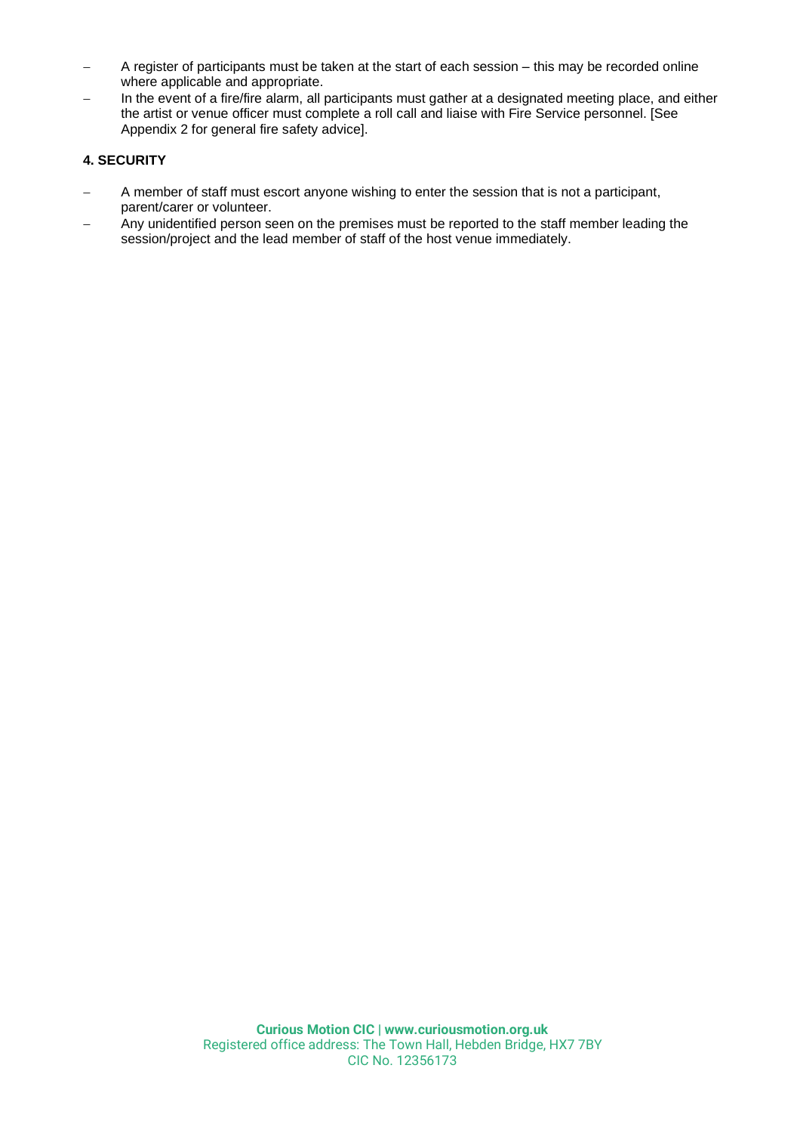- − A register of participants must be taken at the start of each session this may be recorded online where applicable and appropriate.
- In the event of a fire/fire alarm, all participants must gather at a designated meeting place, and either the artist or venue officer must complete a roll call and liaise with Fire Service personnel. [See Appendix 2 for general fire safety advice].

# **4. SECURITY**

- A member of staff must escort anyone wishing to enter the session that is not a participant, parent/carer or volunteer.
- Any unidentified person seen on the premises must be reported to the staff member leading the session/project and the lead member of staff of the host venue immediately.